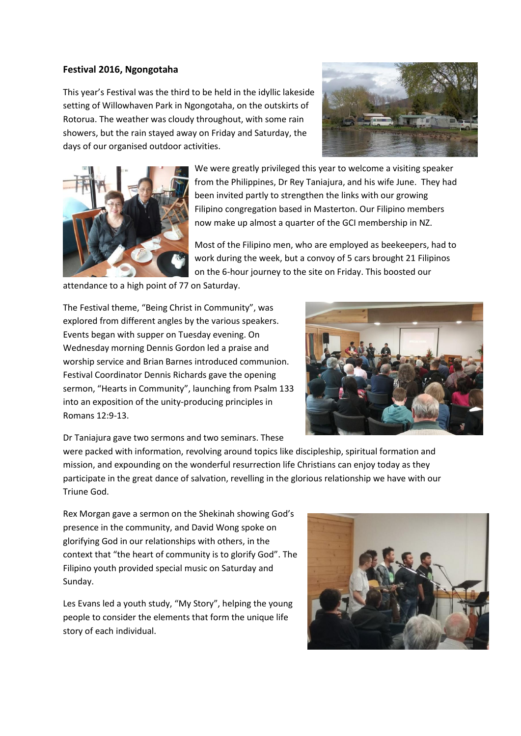## **Festival 2016, Ngongotaha**

This year's Festival was the third to be held in the idyllic lakeside setting of Willowhaven Park in Ngongotaha, on the outskirts of Rotorua. The weather was cloudy throughout, with some rain showers, but the rain stayed away on Friday and Saturday, the days of our organised outdoor activities.





We were greatly privileged this year to welcome a visiting speaker from the Philippines, Dr Rey Taniajura, and his wife June. They had been invited partly to strengthen the links with our growing Filipino congregation based in Masterton. Our Filipino members now make up almost a quarter of the GCI membership in NZ.

Most of the Filipino men, who are employed as beekeepers, had to work during the week, but a convoy of 5 cars brought 21 Filipinos on the 6-hour journey to the site on Friday. This boosted our

attendance to a high point of 77 on Saturday.

The Festival theme, "Being Christ in Community", was explored from different angles by the various speakers. Events began with supper on Tuesday evening. On Wednesday morning Dennis Gordon led a praise and worship service and Brian Barnes introduced communion. Festival Coordinator Dennis Richards gave the opening sermon, "Hearts in Community", launching from Psalm 133 into an exposition of the unity-producing principles in Romans 12:9-13.



Dr Taniajura gave two sermons and two seminars. These

were packed with information, revolving around topics like discipleship, spiritual formation and mission, and expounding on the wonderful resurrection life Christians can enjoy today as they participate in the great dance of salvation, revelling in the glorious relationship we have with our Triune God.

Rex Morgan gave a sermon on the Shekinah showing God's presence in the community, and David Wong spoke on glorifying God in our relationships with others, in the context that "the heart of community is to glorify God". The Filipino youth provided special music on Saturday and Sunday.

Les Evans led a youth study, "My Story", helping the young people to consider the elements that form the unique life story of each individual.